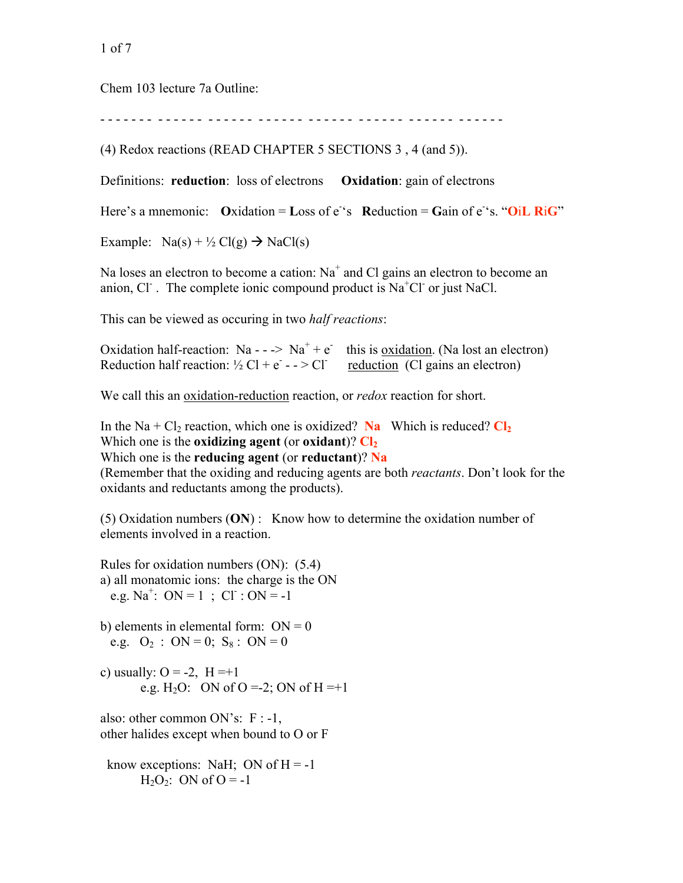1 of 7

Chem 103 lecture 7a Outline:

- - - - - - - - - - - - - - - - - - - - - - - - - - - - - - - - - - - - - - - - - - - - - - - - -

(4) Redox reactions (READ CHAPTER 5 SECTIONS 3 , 4 (and 5)).

Definitions: **reduction**: loss of electrons **Oxidation**: gain of electrons

Here's a mnemonic:  $Ox$ idation = Loss of  $e^s$ s Reduction = Gain of  $e^s$ s. " $OiL$  RiG"

Example:  $Na(s) + \frac{1}{2} Cl(g) \rightarrow NaCl(s)$ 

Na loses an electron to become a cation:  $Na<sup>+</sup>$  and Cl gains an electron to become an anion, Cl<sup>-</sup>. The complete ionic compound product is  $Na<sup>+</sup>Cl<sup>-</sup>$  or just NaCl.

This can be viewed as occuring in two *half reactions*:

Oxidation half-reaction: Na - - -> Na<sup>+</sup> + e<sup>-</sup> this is oxidation. (Na lost an electron) Reduction half reaction:  $\frac{1}{2}$  Cl + e<sup>-</sup> - - > Cl<sup>-</sup> reduction (Cl gains an electron)

We call this an oxidation-reduction reaction, or *redox* reaction for short.

In the Na + Cl<sub>2</sub> reaction, which one is oxidized? Na Which is reduced?  $Cl_2$ Which one is the **oxidizing agent** (or **oxidant**)?  $\mathbf{Cl}_2$ Which one is the **reducing agent** (or **reductant**)? **Na** (Remember that the oxiding and reducing agents are both *reactants*. Don't look for the oxidants and reductants among the products).

(5) Oxidation numbers (**ON**) : Know how to determine the oxidation number of elements involved in a reaction.

Rules for oxidation numbers (ON): (5.4) a) all monatomic ions: the charge is the ON e.g.  $Na^+$ :  $ON = 1$ ;  $CI : ON = -1$ 

b) elements in elemental form:  $ON = 0$ e.g.  $O_2$  : ON = 0; S<sub>8</sub> : ON = 0

c) usually:  $O = -2$ ,  $H = +1$ e.g. H<sub>2</sub>O: ON of O =-2; ON of H =+1

also: other common ON's: F : -1, other halides except when bound to O or F

know exceptions: NaH; ON of  $H = -1$  $H_2O_2$ : ON of  $O = -1$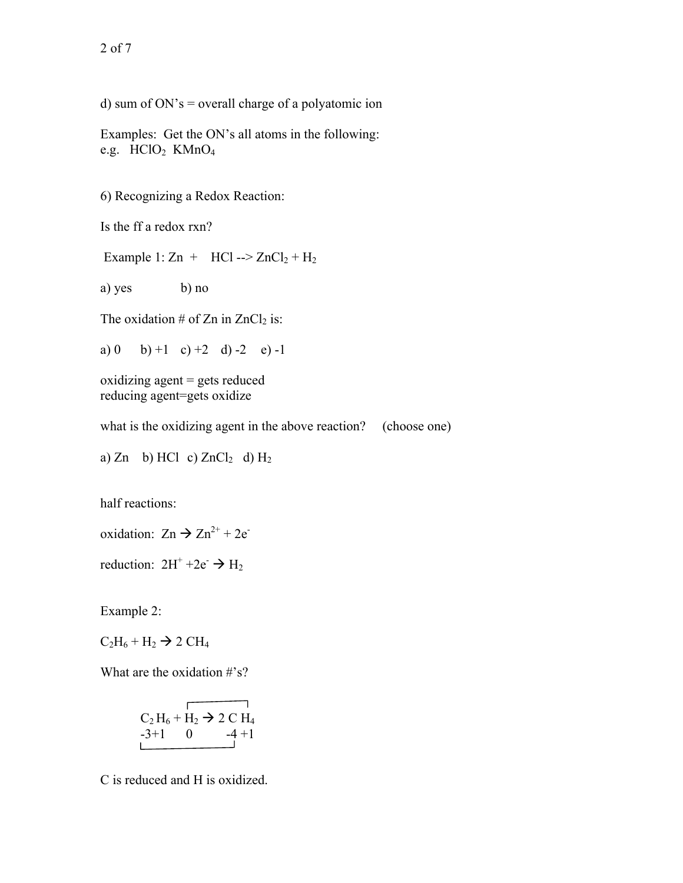d) sum of  $ON's$  = overall charge of a polyatomic ion

Examples: Get the ON's all atoms in the following: e.g. HClO<sub>2</sub> KMnO<sub>4</sub>

6) Recognizing a Redox Reaction:

Is the ff a redox rxn?

Example 1:  $\text{Zn}$  + HCl -->  $\text{ZnCl}_2$  + H<sub>2</sub>

a) yes b) no

The oxidation # of Zn in  $ZnCl<sub>2</sub>$  is:

a) 0 b) +1 c) +2 d) -2 e) -1

oxidizing agent = gets reduced reducing agent=gets oxidize

what is the oxidizing agent in the above reaction? (choose one)

a) Zn b) HCl c)  $ZnCl<sub>2</sub>$  d)  $H<sub>2</sub>$ 

half reactions:

oxidation:  $Zn \rightarrow Zn^{2+} + 2e^{-}$ 

reduction:  $2H^+ + 2e^- \rightarrow H_2$ 

Example 2:

 $C_2H_6 + H_2 \rightarrow 2 CH_4$ 

What are the oxidation #'s?

$$
\begin{array}{c}\nC_2 H_6 + H_2 \to 2 \text{ C H}_4 \\
-3 + 1 \quad 0 \quad -4 + 1\n\end{array}
$$

C is reduced and H is oxidized.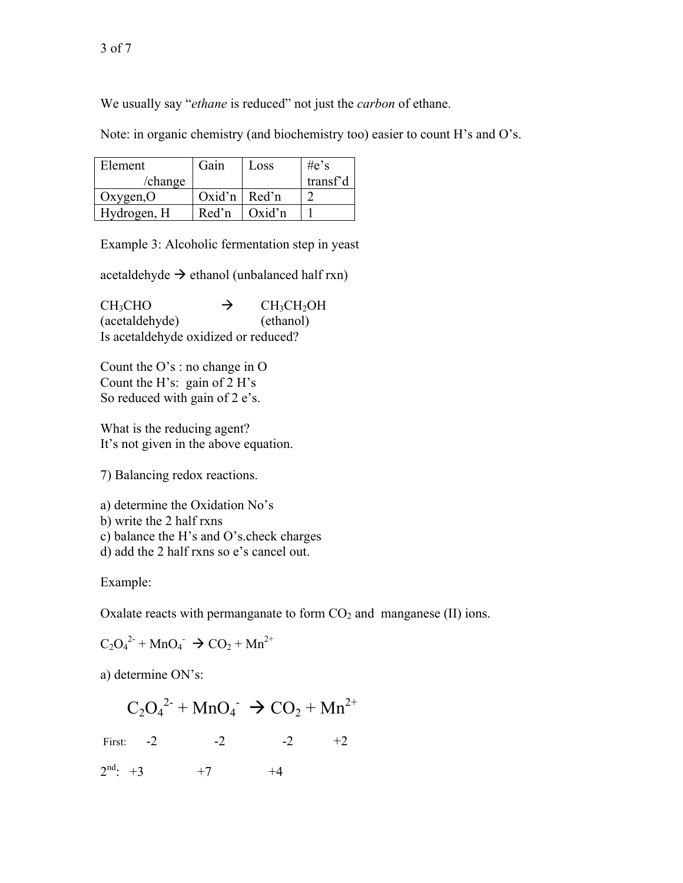We usually say "*ethane* is reduced" not just the *carbon* of ethane.

Note: in organic chemistry (and biochemistry too) easier to count H's and O's.

| Element     | Gain             | Loss            | $\#e's$  |
|-------------|------------------|-----------------|----------|
| /change     |                  |                 | transf'd |
| Oxygen, $O$ | Oxid'n   $Red'n$ |                 |          |
| Hydrogen, H | Red'n            | $\alpha$ Oxid'n |          |

Example 3: Alcoholic fermentation step in yeast

acetaldehyde  $\rightarrow$  ethanol (unbalanced half rxn)

 $CH_3CHO \rightarrow$  $CH<sub>3</sub>CH<sub>2</sub>OH$ (acetaldehyde) (ethanol) Is acetaldehyde oxidized or reduced?

Count the O's : no change in O Count the H's: gain of 2 H's So reduced with gain of 2 e's.

What is the reducing agent? It's not given in the above equation.

7) Balancing redox reactions.

a) determine the Oxidation No's

b) write the 2 half rxns

c) balance the H's and O's.check charges

d) add the 2 half rxns so e's cancel out.

Example:

Oxalate reacts with permanganate to form  $CO<sub>2</sub>$  and manganese (II) ions.

$$
C_2O_4^{2-} + MnO_4^- \rightarrow CO_2 + Mn^{2+}
$$

a) determine ON's:

$$
C_2O_4^{2}
$$
 + MnO<sub>4</sub> $\rightarrow$  CO<sub>2</sub> + Mn<sup>2+</sup>

First:  $-2$   $-2$   $-2$   $+2$ 

 $2<sup>nd</sup>: +3 +7 +4$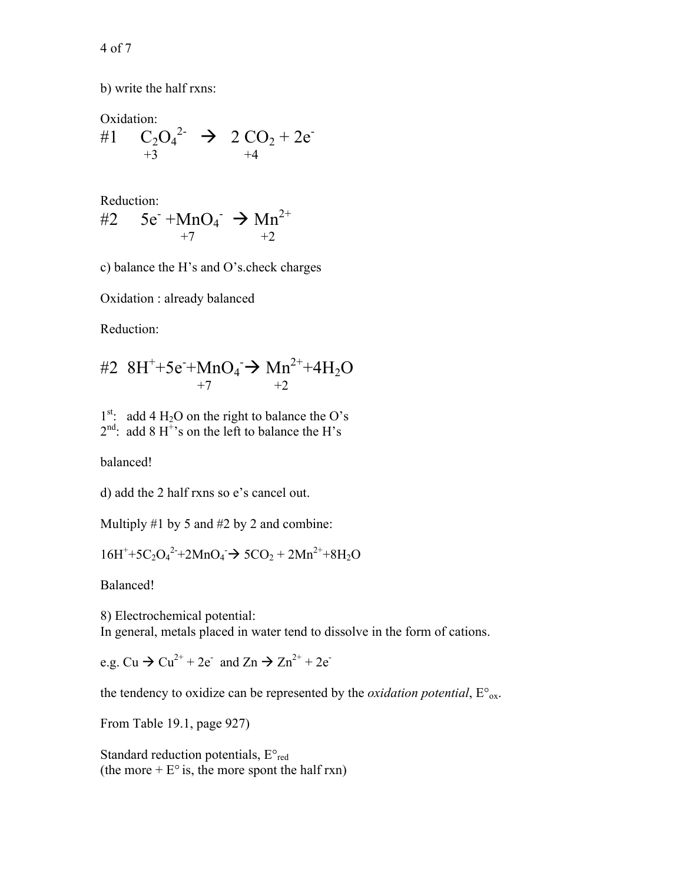4 of 7

b) write the half rxns:

Oxidation: #1  $C_2O_4^{2-}$   $\rightarrow$  2  $CO_2 + 2e^{-}$  $+3$   $+4$ 

Reduction:

#2 
$$
5e^- + MnO_4^- \rightarrow Mn^{2+}
$$
  
+7  $+2$ 

c) balance the H's and O's.check charges

Oxidation : already balanced

Reduction:

#2 8H<sup>+</sup>+5e<sup>-</sup>+MnO<sub>4</sub>
$$
\rightarrow
$$
 Mn<sup>2+</sup>+4H<sub>2</sub>O  
<sup>+7</sup> $\rightarrow$ <sup>+2</sup>

 $1<sup>st</sup>$ : add 4 H<sub>2</sub>O on the right to balance the O's  $2<sup>nd</sup>$ : add 8 H<sup>+</sup>'s on the left to balance the H's

balanced!

d) add the 2 half rxns so e's cancel out.

Multiply  $#1$  by 5 and  $#2$  by 2 and combine:

 $16H^+ + 5C_2O_4^2 + 2MnO_4 \rightarrow 5CO_2 + 2Mn^2 + 8H_2O$ 

Balanced!

8) Electrochemical potential: In general, metals placed in water tend to dissolve in the form of cations.

e.g.  $Cu \rightarrow Cu^{2+} + 2e^-$  and  $Zn \rightarrow Zn^{2+} + 2e^-$ 

the tendency to oxidize can be represented by the *oxidation potential*,  $E^{\circ}_{ox}$ .

From Table 19.1, page 927)

Standard reduction potentials,  $E^{\circ}_{red}$ (the more  $+ E^{\circ}$  is, the more spont the half rxn)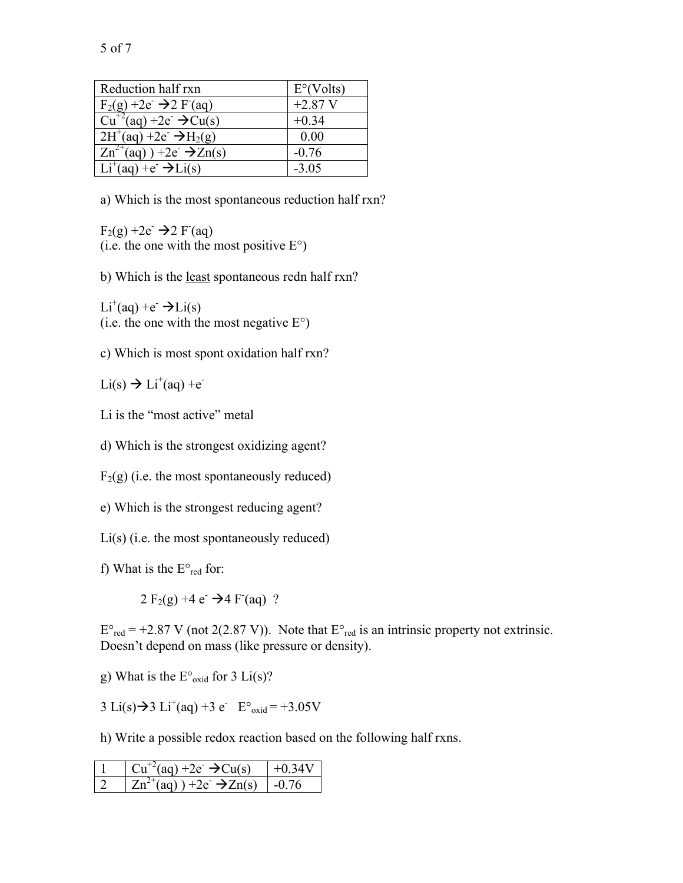| Reduction half rxn                                              | $E^{\circ}$ (Volts) |
|-----------------------------------------------------------------|---------------------|
| $F_2(g) + 2e^- \rightarrow 2 F(aq)$                             | $+2.87$ V           |
| $Cu^{+2}(aq) + 2e^ \rightarrow Cu(s)$                           | $+0.34$             |
| $2H^+(aq) + 2e^- \rightarrow H_2(g)$                            | 0.00                |
| $\overline{Zn^{2+}}(aq)$ ) +2e <sup>-</sup> $\rightarrow$ Zn(s) | $-0.76$             |
| $Li^+(aq) + e^- \rightarrow Li(s)$                              | $-3.05$             |

a) Which is the most spontaneous reduction half rxn?

 $F_2(g) + 2e^- \rightarrow 2 F(aq)$ (i.e. the one with the most positive  $E^{\circ}$ )

b) Which is the least spontaneous redn half rxn?

 $Li^+(aq) + e^- \rightarrow Li(s)$ (i.e. the one with the most negative  $E^{\circ}$ )

c) Which is most spont oxidation half rxn?

 $Li(s) \rightarrow Li^+(aq) + e^-$ 

Li is the "most active" metal

d) Which is the strongest oxidizing agent?

 $F_2(g)$  (i.e. the most spontaneously reduced)

e) Which is the strongest reducing agent?

Li(s) (i.e. the most spontaneously reduced)

f) What is the  $E^{\circ}$ <sub>red</sub> for:

 $2 F_2(g) + 4 e^- \rightarrow 4 F(aq)$  ?

 $E^{\circ}_{red}$  = +2.87 V (not 2(2.87 V)). Note that  $E^{\circ}_{red}$  is an intrinsic property not extrinsic. Doesn't depend on mass (like pressure or density).

g) What is the  $E^{\circ}$ <sub>oxid</sub> for 3 Li(s)?

3 Li(s)  $\rightarrow$  3 Li<sup>+</sup>(aq) +3 e<sup>-</sup> E<sup>o</sup><sub>oxid</sub> = +3.05V

h) Write a possible redox reaction based on the following half rxns.

| $Cu^{+2}(aq) + 2e^{-} \rightarrow Cu(s)$                                                     |       |
|----------------------------------------------------------------------------------------------|-------|
| $Zn^{2}$ <sup><math>\tau</math></sup> (aq) ) +2e <sup><math>\rightarrow</math></sup> $Zn(s)$ | $-()$ |

5 of 7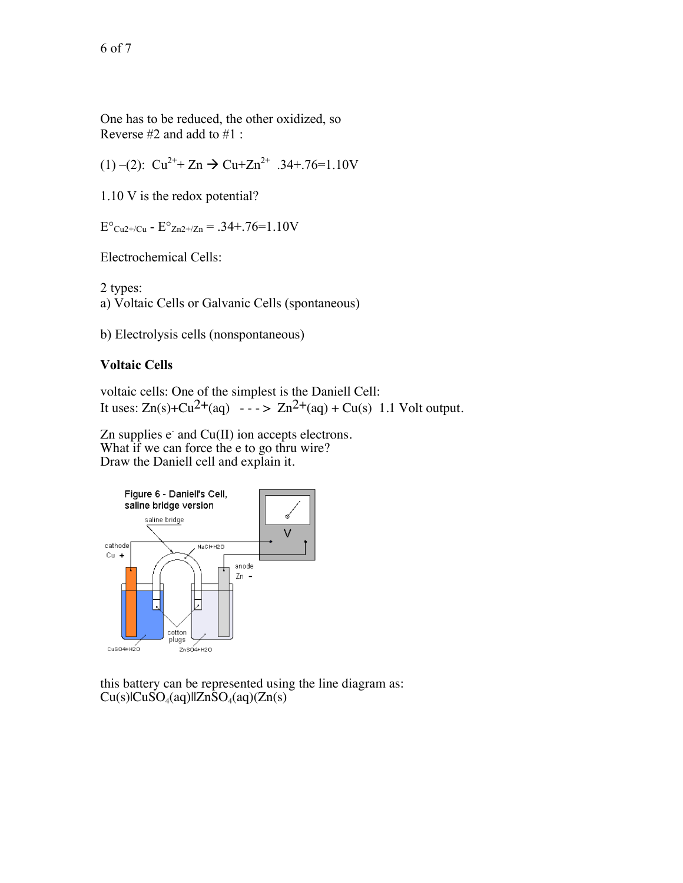One has to be reduced, the other oxidized, so Reverse #2 and add to #1 :

(1) –(2):  $Cu^{2+} + Zn \rightarrow Cu+Zn^{2+}$  .34+.76=1.10V

1.10 V is the redox potential?

 $E^{\circ}$ <sub>Cu2+/Cu</sub> -  $E^{\circ}$ <sub>Zn2+/Zn</sub> = .34+.76=1.10V

Electrochemical Cells:

2 types: a) Voltaic Cells or Galvanic Cells (spontaneous)

b) Electrolysis cells (nonspontaneous)

## **Voltaic Cells**

voltaic cells: One of the simplest is the Daniell Cell: It uses:  $Zn(s)+Cu^{2+}(aq) \rightarrow z-2n^{2+}(aq)+Cu(s)$  1.1 Volt output.

Zn supplies  $e^-$  and  $Cu(II)$  ion accepts electrons. What if we can force the e to go thru wire? Draw the Daniell cell and explain it.



this battery can be represented using the line diagram as:  $Cu(s)$ |CuSO<sub>4</sub>(aq)||ZnSO<sub>4</sub>(aq)(Zn(s)